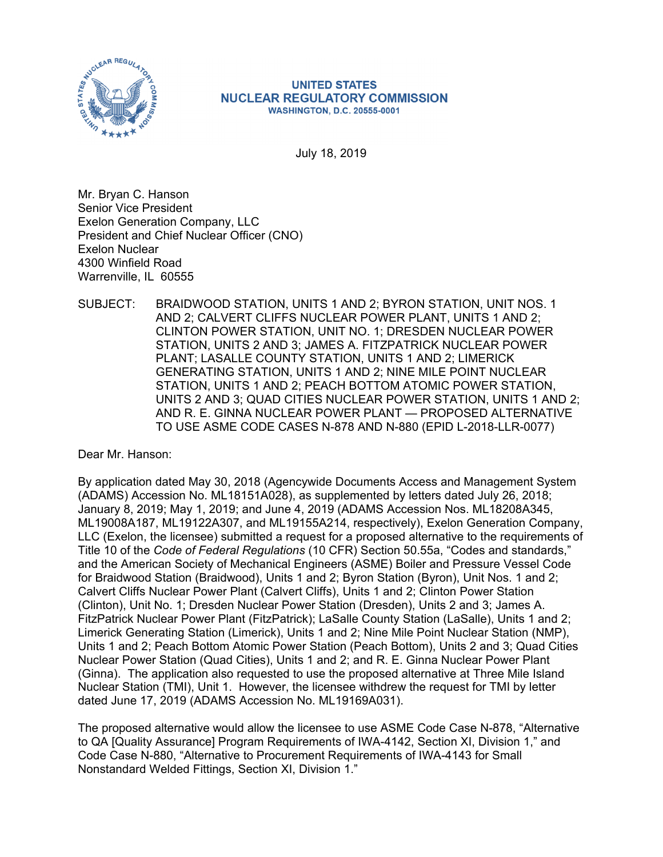

#### **UNITED STATES NUCLEAR REGULATORY COMMISSION WASHINGTON, D.C. 20555-0001**

July 18, 2019

Mr. Bryan C. Hanson Senior Vice President Exelon Generation Company, LLC President and Chief Nuclear Officer (CNO) Exelon Nuclear 4300 Winfield Road Warrenville, IL 60555

SUBJECT: BRAIDWOOD STATION, UNITS 1 AND 2; BYRON STATION, UNIT NOS. 1 AND 2; CALVERT CLIFFS NUCLEAR POWER PLANT, UNITS 1 AND 2; CLINTON POWER STATION, UNIT NO. 1; DRESDEN NUCLEAR POWER STATION, UNITS 2 AND 3; JAMES A. FITZPATRICK NUCLEAR POWER PLANT; LASALLE COUNTY STATION, UNITS 1 AND 2; LIMERICK GENERATING STATION, UNITS 1 AND 2; NINE MILE POINT NUCLEAR STATION, UNITS 1 AND 2; PEACH BOTTOM ATOMIC POWER STATION, UNITS 2 AND 3; QUAD CITIES NUCLEAR POWER STATION, UNITS 1 AND 2; AND R. E. GINNA NUCLEAR POWER PLANT — PROPOSED ALTERNATIVE TO USE ASME CODE CASES N-878 AND N-880 (EPID L-2018-LLR-0077)

Dear Mr. Hanson:

By application dated May 30, 2018 (Agencywide Documents Access and Management System (ADAMS) Accession No. ML18151A028), as supplemented by letters dated July 26, 2018; January 8, 2019; May 1, 2019; and June 4, 2019 (ADAMS Accession Nos. ML18208A345, ML19008A187, ML19122A307, and ML19155A214, respectively), Exelon Generation Company, LLC (Exelon, the licensee) submitted a request for a proposed alternative to the requirements of Title 10 of the *Code of Federal Regulations* (10 CFR) Section 50.55a, "Codes and standards," and the American Society of Mechanical Engineers (ASME) Boiler and Pressure Vessel Code for Braidwood Station (Braidwood), Units 1 and 2; Byron Station (Byron), Unit Nos. 1 and 2; Calvert Cliffs Nuclear Power Plant (Calvert Cliffs), Units 1 and 2; Clinton Power Station (Clinton), Unit No. 1; Dresden Nuclear Power Station (Dresden), Units 2 and 3; James A. FitzPatrick Nuclear Power Plant (FitzPatrick); LaSalle County Station (LaSalle), Units 1 and 2; Limerick Generating Station (Limerick), Units 1 and 2; Nine Mile Point Nuclear Station (NMP), Units 1 and 2; Peach Bottom Atomic Power Station (Peach Bottom), Units 2 and 3; Quad Cities Nuclear Power Station (Quad Cities), Units 1 and 2; and R. E. Ginna Nuclear Power Plant (Ginna). The application also requested to use the proposed alternative at Three Mile Island Nuclear Station (TMI), Unit 1. However, the licensee withdrew the request for TMI by letter dated June 17, 2019 (ADAMS Accession No. ML19169A031).

The proposed alternative would allow the licensee to use ASME Code Case N-878, "Alternative to QA [Quality Assurance] Program Requirements of IWA-4142, Section XI, Division 1," and Code Case N-880, "Alternative to Procurement Requirements of IWA-4143 for Small Nonstandard Welded Fittings, Section XI, Division 1."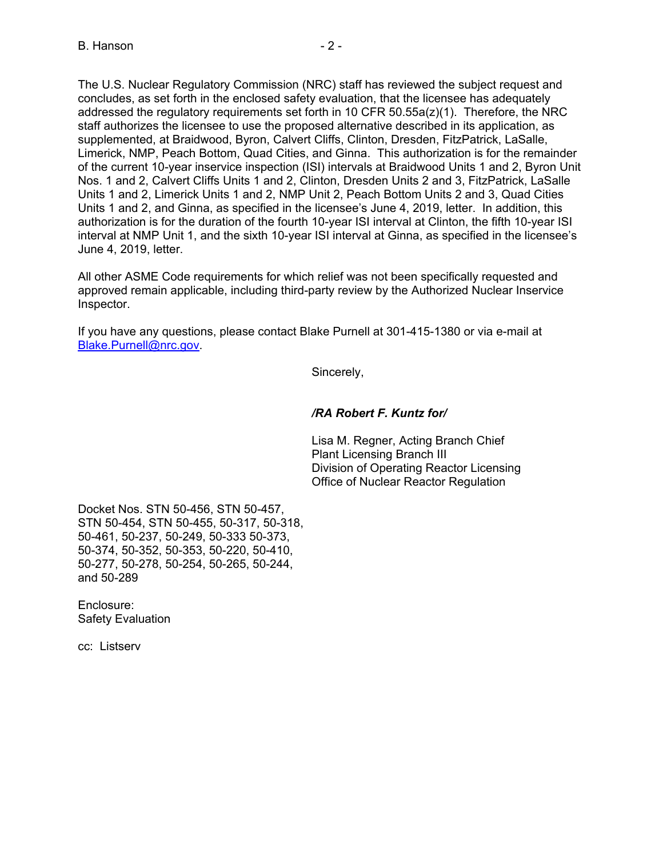The U.S. Nuclear Regulatory Commission (NRC) staff has reviewed the subject request and concludes, as set forth in the enclosed safety evaluation, that the licensee has adequately addressed the regulatory requirements set forth in 10 CFR  $50.55a(z)(1)$ . Therefore, the NRC staff authorizes the licensee to use the proposed alternative described in its application, as supplemented, at Braidwood, Byron, Calvert Cliffs, Clinton, Dresden, FitzPatrick, LaSalle, Limerick, NMP, Peach Bottom, Quad Cities, and Ginna. This authorization is for the remainder of the current 10-year inservice inspection (ISI) intervals at Braidwood Units 1 and 2, Byron Unit Nos. 1 and 2, Calvert Cliffs Units 1 and 2, Clinton, Dresden Units 2 and 3, FitzPatrick, LaSalle Units 1 and 2, Limerick Units 1 and 2, NMP Unit 2, Peach Bottom Units 2 and 3, Quad Cities Units 1 and 2, and Ginna, as specified in the licensee's June 4, 2019, letter. In addition, this authorization is for the duration of the fourth 10-year ISI interval at Clinton, the fifth 10-year ISI interval at NMP Unit 1, and the sixth 10-year ISI interval at Ginna, as specified in the licensee's June 4, 2019, letter.

All other ASME Code requirements for which relief was not been specifically requested and approved remain applicable, including third-party review by the Authorized Nuclear Inservice Inspector.

If you have any questions, please contact Blake Purnell at 301-415-1380 or via e-mail at Blake.Purnell@nrc.gov.

Sincerely,

### */RA Robert F. Kuntz for/*

Lisa M. Regner, Acting Branch Chief Plant Licensing Branch III Division of Operating Reactor Licensing Office of Nuclear Reactor Regulation

Docket Nos. STN 50-456, STN 50-457, STN 50-454, STN 50-455, 50-317, 50-318, 50-461, 50-237, 50-249, 50-333 50-373, 50-374, 50-352, 50-353, 50-220, 50-410, 50-277, 50-278, 50-254, 50-265, 50-244, and 50-289

Enclosure: Safety Evaluation

cc: Listserv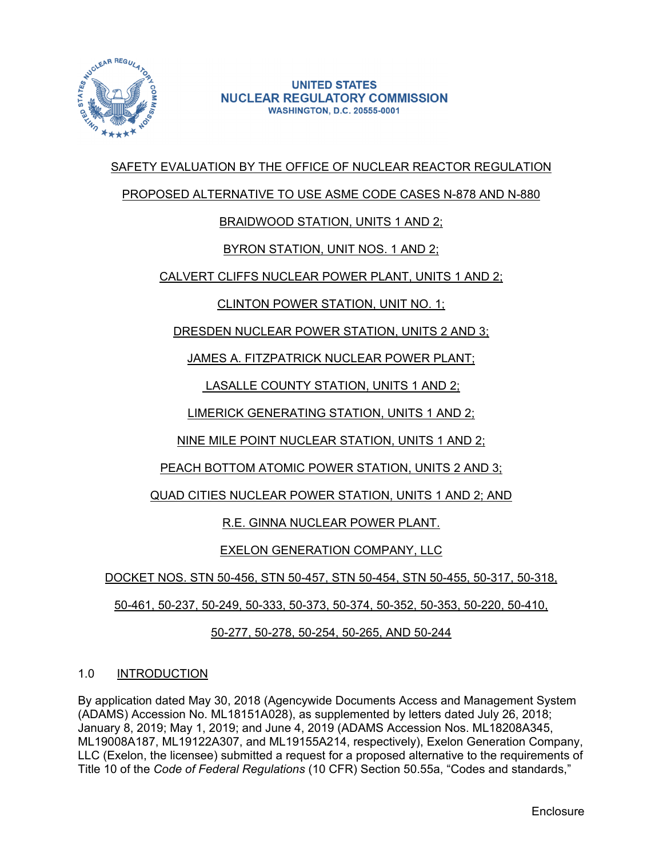

#### **UNITED STATES NUCLEAR REGULATORY COMMISSION WASHINGTON, D.C. 20555-0001**

# SAFETY EVALUATION BY THE OFFICE OF NUCLEAR REACTOR REGULATION

### PROPOSED ALTERNATIVE TO USE ASME CODE CASES N-878 AND N-880

# BRAIDWOOD STATION, UNITS 1 AND 2;

# BYRON STATION, UNIT NOS. 1 AND 2;

# CALVERT CLIFFS NUCLEAR POWER PLANT, UNITS 1 AND 2;

# CLINTON POWER STATION, UNIT NO. 1;

# DRESDEN NUCLEAR POWER STATION, UNITS 2 AND 3;

JAMES A. FITZPATRICK NUCLEAR POWER PLANT;

LASALLE COUNTY STATION, UNITS 1 AND 2;

LIMERICK GENERATING STATION, UNITS 1 AND 2;

NINE MILE POINT NUCLEAR STATION, UNITS 1 AND 2;

PEACH BOTTOM ATOMIC POWER STATION, UNITS 2 AND 3;

# QUAD CITIES NUCLEAR POWER STATION, UNITS 1 AND 2; AND

# R.E. GINNA NUCLEAR POWER PLANT.

# EXELON GENERATION COMPANY, LLC

DOCKET NOS. STN 50-456, STN 50-457, STN 50-454, STN 50-455, 50-317, 50-318,

50-461, 50-237, 50-249, 50-333, 50-373, 50-374, 50-352, 50-353, 50-220, 50-410,

# 50-277, 50-278, 50-254, 50-265, AND 50-244

### 1.0 INTRODUCTION

By application dated May 30, 2018 (Agencywide Documents Access and Management System (ADAMS) Accession No. ML18151A028), as supplemented by letters dated July 26, 2018; January 8, 2019; May 1, 2019; and June 4, 2019 (ADAMS Accession Nos. ML18208A345, ML19008A187, ML19122A307, and ML19155A214, respectively), Exelon Generation Company, LLC (Exelon, the licensee) submitted a request for a proposed alternative to the requirements of Title 10 of the *Code of Federal Regulations* (10 CFR) Section 50.55a, "Codes and standards,"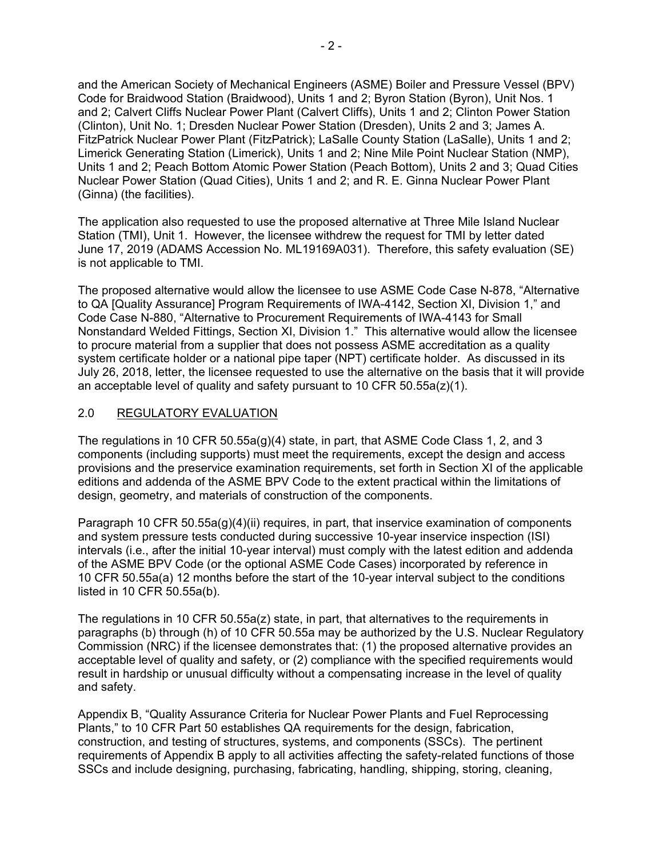and the American Society of Mechanical Engineers (ASME) Boiler and Pressure Vessel (BPV) Code for Braidwood Station (Braidwood), Units 1 and 2; Byron Station (Byron), Unit Nos. 1 and 2; Calvert Cliffs Nuclear Power Plant (Calvert Cliffs), Units 1 and 2; Clinton Power Station (Clinton), Unit No. 1; Dresden Nuclear Power Station (Dresden), Units 2 and 3; James A. FitzPatrick Nuclear Power Plant (FitzPatrick); LaSalle County Station (LaSalle), Units 1 and 2; Limerick Generating Station (Limerick), Units 1 and 2; Nine Mile Point Nuclear Station (NMP), Units 1 and 2; Peach Bottom Atomic Power Station (Peach Bottom), Units 2 and 3; Quad Cities Nuclear Power Station (Quad Cities), Units 1 and 2; and R. E. Ginna Nuclear Power Plant (Ginna) (the facilities).

The application also requested to use the proposed alternative at Three Mile Island Nuclear Station (TMI), Unit 1. However, the licensee withdrew the request for TMI by letter dated June 17, 2019 (ADAMS Accession No. ML19169A031). Therefore, this safety evaluation (SE) is not applicable to TMI.

The proposed alternative would allow the licensee to use ASME Code Case N-878, "Alternative to QA [Quality Assurance] Program Requirements of IWA-4142, Section XI, Division 1," and Code Case N-880, "Alternative to Procurement Requirements of IWA-4143 for Small Nonstandard Welded Fittings, Section XI, Division 1." This alternative would allow the licensee to procure material from a supplier that does not possess ASME accreditation as a quality system certificate holder or a national pipe taper (NPT) certificate holder. As discussed in its July 26, 2018, letter, the licensee requested to use the alternative on the basis that it will provide an acceptable level of quality and safety pursuant to 10 CFR 50.55a(z)(1).

### 2.0 REGULATORY EVALUATION

The regulations in 10 CFR 50.55a(g)(4) state, in part, that ASME Code Class 1, 2, and 3 components (including supports) must meet the requirements, except the design and access provisions and the preservice examination requirements, set forth in Section XI of the applicable editions and addenda of the ASME BPV Code to the extent practical within the limitations of design, geometry, and materials of construction of the components.

Paragraph 10 CFR 50.55a(g)(4)(ii) requires, in part, that inservice examination of components and system pressure tests conducted during successive 10-year inservice inspection (ISI) intervals (i.e., after the initial 10-year interval) must comply with the latest edition and addenda of the ASME BPV Code (or the optional ASME Code Cases) incorporated by reference in 10 CFR 50.55a(a) 12 months before the start of the 10-year interval subject to the conditions listed in 10 CFR 50.55a(b).

The regulations in 10 CFR 50.55a(z) state, in part, that alternatives to the requirements in paragraphs (b) through (h) of 10 CFR 50.55a may be authorized by the U.S. Nuclear Regulatory Commission (NRC) if the licensee demonstrates that: (1) the proposed alternative provides an acceptable level of quality and safety, or (2) compliance with the specified requirements would result in hardship or unusual difficulty without a compensating increase in the level of quality and safety.

Appendix B, "Quality Assurance Criteria for Nuclear Power Plants and Fuel Reprocessing Plants," to 10 CFR Part 50 establishes QA requirements for the design, fabrication, construction, and testing of structures, systems, and components (SSCs). The pertinent requirements of Appendix B apply to all activities affecting the safety-related functions of those SSCs and include designing, purchasing, fabricating, handling, shipping, storing, cleaning,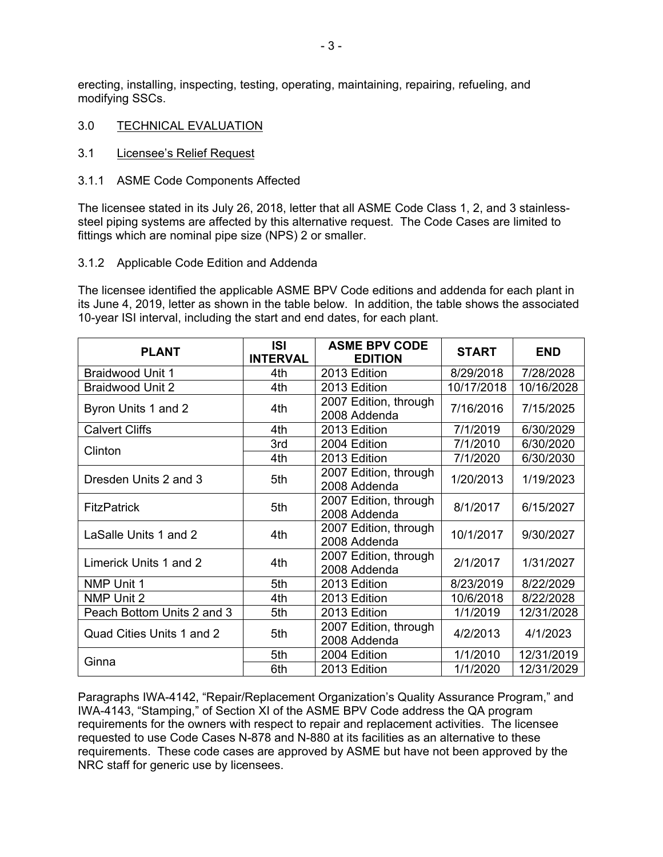erecting, installing, inspecting, testing, operating, maintaining, repairing, refueling, and modifying SSCs.

- 3.0 TECHNICAL EVALUATION
- 3.1 Licensee's Relief Request
- 3.1.1 ASME Code Components Affected

The licensee stated in its July 26, 2018, letter that all ASME Code Class 1, 2, and 3 stainlesssteel piping systems are affected by this alternative request. The Code Cases are limited to fittings which are nominal pipe size (NPS) 2 or smaller.

#### 3.1.2 Applicable Code Edition and Addenda

The licensee identified the applicable ASME BPV Code editions and addenda for each plant in its June 4, 2019, letter as shown in the table below. In addition, the table shows the associated 10-year ISI interval, including the start and end dates, for each plant.

| <b>PLANT</b>               | <b>ISI</b><br><b>INTERVAL</b> | <b>ASME BPV CODE</b><br><b>EDITION</b> | <b>START</b> | <b>END</b> |
|----------------------------|-------------------------------|----------------------------------------|--------------|------------|
| <b>Braidwood Unit 1</b>    | 4th                           | 2013 Edition                           | 8/29/2018    | 7/28/2028  |
| <b>Braidwood Unit 2</b>    | 4th                           | 2013 Edition                           | 10/17/2018   | 10/16/2028 |
| Byron Units 1 and 2        | 4th                           | 2007 Edition, through<br>2008 Addenda  | 7/16/2016    | 7/15/2025  |
| <b>Calvert Cliffs</b>      | 4th                           | 2013 Edition                           | 7/1/2019     | 6/30/2029  |
| Clinton                    | 3rd                           | 2004 Edition                           | 7/1/2010     | 6/30/2020  |
|                            | 4th                           | 2013 Edition                           | 7/1/2020     | 6/30/2030  |
| Dresden Units 2 and 3      | 5th                           | 2007 Edition, through<br>2008 Addenda  | 1/20/2013    | 1/19/2023  |
| <b>FitzPatrick</b>         | 5th                           | 2007 Edition, through<br>2008 Addenda  | 8/1/2017     | 6/15/2027  |
| LaSalle Units 1 and 2      | 4th                           | 2007 Edition, through<br>2008 Addenda  | 10/1/2017    | 9/30/2027  |
| Limerick Units 1 and 2     | 4th                           | 2007 Edition, through<br>2008 Addenda  | 2/1/2017     | 1/31/2027  |
| NMP Unit 1                 | 5th                           | 2013 Edition                           | 8/23/2019    | 8/22/2029  |
| NMP Unit 2                 | 4th                           | 2013 Edition                           | 10/6/2018    | 8/22/2028  |
| Peach Bottom Units 2 and 3 | 5th                           | 2013 Edition                           | 1/1/2019     | 12/31/2028 |
| Quad Cities Units 1 and 2  | 5th                           | 2007 Edition, through<br>2008 Addenda  | 4/2/2013     | 4/1/2023   |
| Ginna                      | 5th                           | 2004 Edition                           | 1/1/2010     | 12/31/2019 |
|                            | 6th                           | 2013 Edition                           | 1/1/2020     | 12/31/2029 |

Paragraphs IWA-4142, "Repair/Replacement Organization's Quality Assurance Program," and IWA-4143, "Stamping," of Section XI of the ASME BPV Code address the QA program requirements for the owners with respect to repair and replacement activities. The licensee requested to use Code Cases N-878 and N-880 at its facilities as an alternative to these requirements. These code cases are approved by ASME but have not been approved by the NRC staff for generic use by licensees.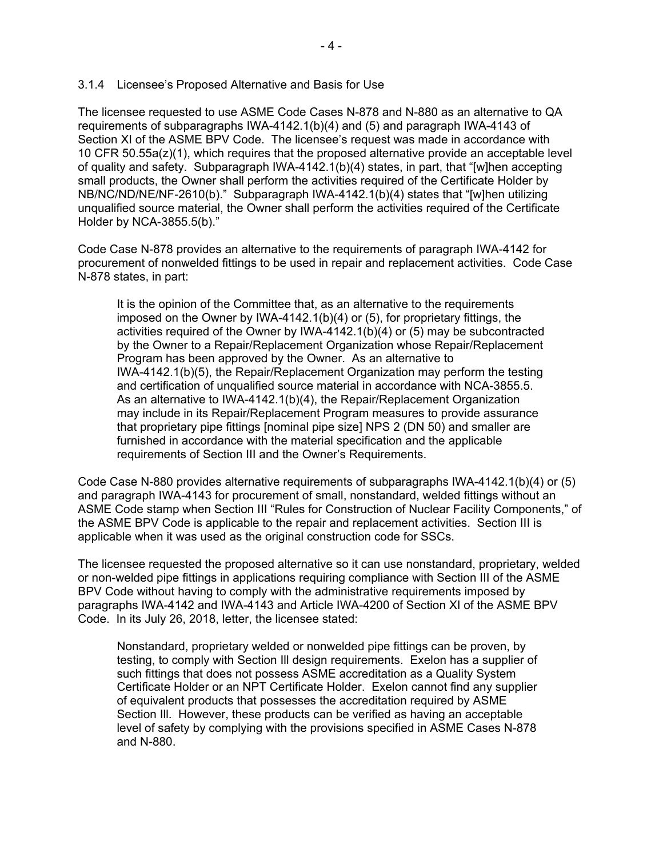#### 3.1.4 Licensee's Proposed Alternative and Basis for Use

The licensee requested to use ASME Code Cases N-878 and N-880 as an alternative to QA requirements of subparagraphs IWA-4142.1(b)(4) and (5) and paragraph IWA-4143 of Section XI of the ASME BPV Code. The licensee's request was made in accordance with 10 CFR 50.55a(z)(1), which requires that the proposed alternative provide an acceptable level of quality and safety. Subparagraph IWA-4142.1(b)(4) states, in part, that "[w]hen accepting small products, the Owner shall perform the activities required of the Certificate Holder by NB/NC/ND/NE/NF-2610(b)." Subparagraph IWA-4142.1(b)(4) states that "[w]hen utilizing unqualified source material, the Owner shall perform the activities required of the Certificate Holder by NCA-3855.5(b)."

Code Case N-878 provides an alternative to the requirements of paragraph IWA-4142 for procurement of nonwelded fittings to be used in repair and replacement activities. Code Case N-878 states, in part:

It is the opinion of the Committee that, as an alternative to the requirements imposed on the Owner by IWA-4142.1(b)(4) or (5), for proprietary fittings, the activities required of the Owner by IWA-4142.1(b)(4) or (5) may be subcontracted by the Owner to a Repair/Replacement Organization whose Repair/Replacement Program has been approved by the Owner. As an alternative to IWA-4142.1(b)(5), the Repair/Replacement Organization may perform the testing and certification of unqualified source material in accordance with NCA-3855.5. As an alternative to IWA-4142.1(b)(4), the Repair/Replacement Organization may include in its Repair/Replacement Program measures to provide assurance that proprietary pipe fittings [nominal pipe size] NPS 2 (DN 50) and smaller are furnished in accordance with the material specification and the applicable requirements of Section III and the Owner's Requirements.

Code Case N-880 provides alternative requirements of subparagraphs IWA-4142.1(b)(4) or (5) and paragraph IWA-4143 for procurement of small, nonstandard, welded fittings without an ASME Code stamp when Section III "Rules for Construction of Nuclear Facility Components," of the ASME BPV Code is applicable to the repair and replacement activities. Section III is applicable when it was used as the original construction code for SSCs.

The licensee requested the proposed alternative so it can use nonstandard, proprietary, welded or non-welded pipe fittings in applications requiring compliance with Section III of the ASME BPV Code without having to comply with the administrative requirements imposed by paragraphs IWA-4142 and IWA-4143 and Article IWA-4200 of Section XI of the ASME BPV Code. In its July 26, 2018, letter, the licensee stated:

Nonstandard, proprietary welded or nonwelded pipe fittings can be proven, by testing, to comply with Section Ill design requirements. Exelon has a supplier of such fittings that does not possess ASME accreditation as a Quality System Certificate Holder or an NPT Certificate Holder. Exelon cannot find any supplier of equivalent products that possesses the accreditation required by ASME Section Ill. However, these products can be verified as having an acceptable level of safety by complying with the provisions specified in ASME Cases N-878 and N-880.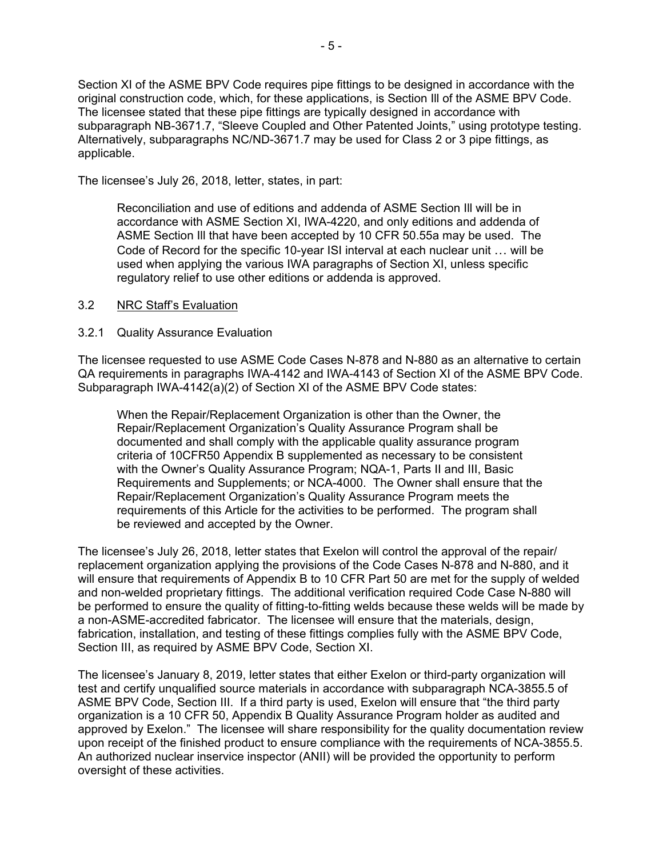Section XI of the ASME BPV Code requires pipe fittings to be designed in accordance with the original construction code, which, for these applications, is Section Ill of the ASME BPV Code. The licensee stated that these pipe fittings are typically designed in accordance with subparagraph NB-3671.7, "Sleeve Coupled and Other Patented Joints," using prototype testing. Alternatively, subparagraphs NC/ND-3671.7 may be used for Class 2 or 3 pipe fittings, as applicable.

The licensee's July 26, 2018, letter, states, in part:

Reconciliation and use of editions and addenda of ASME Section Ill will be in accordance with ASME Section XI, IWA-4220, and only editions and addenda of ASME Section Ill that have been accepted by 10 CFR 50.55a may be used. The Code of Record for the specific 10-year ISI interval at each nuclear unit … will be used when applying the various IWA paragraphs of Section XI, unless specific regulatory relief to use other editions or addenda is approved.

#### 3.2 NRC Staff's Evaluation

#### 3.2.1 Quality Assurance Evaluation

The licensee requested to use ASME Code Cases N-878 and N-880 as an alternative to certain QA requirements in paragraphs IWA-4142 and IWA-4143 of Section XI of the ASME BPV Code. Subparagraph IWA-4142(a)(2) of Section XI of the ASME BPV Code states:

When the Repair/Replacement Organization is other than the Owner, the Repair/Replacement Organization's Quality Assurance Program shall be documented and shall comply with the applicable quality assurance program criteria of 10CFR50 Appendix B supplemented as necessary to be consistent with the Owner's Quality Assurance Program; NQA-1, Parts II and III, Basic Requirements and Supplements; or NCA-4000. The Owner shall ensure that the Repair/Replacement Organization's Quality Assurance Program meets the requirements of this Article for the activities to be performed. The program shall be reviewed and accepted by the Owner.

The licensee's July 26, 2018, letter states that Exelon will control the approval of the repair/ replacement organization applying the provisions of the Code Cases N-878 and N-880, and it will ensure that requirements of Appendix B to 10 CFR Part 50 are met for the supply of welded and non-welded proprietary fittings. The additional verification required Code Case N-880 will be performed to ensure the quality of fitting-to-fitting welds because these welds will be made by a non-ASME-accredited fabricator. The licensee will ensure that the materials, design, fabrication, installation, and testing of these fittings complies fully with the ASME BPV Code, Section III, as required by ASME BPV Code, Section XI.

The licensee's January 8, 2019, letter states that either Exelon or third-party organization will test and certify unqualified source materials in accordance with subparagraph NCA-3855.5 of ASME BPV Code, Section III. If a third party is used, Exelon will ensure that "the third party organization is a 10 CFR 50, Appendix B Quality Assurance Program holder as audited and approved by Exelon." The licensee will share responsibility for the quality documentation review upon receipt of the finished product to ensure compliance with the requirements of NCA-3855.5. An authorized nuclear inservice inspector (ANII) will be provided the opportunity to perform oversight of these activities.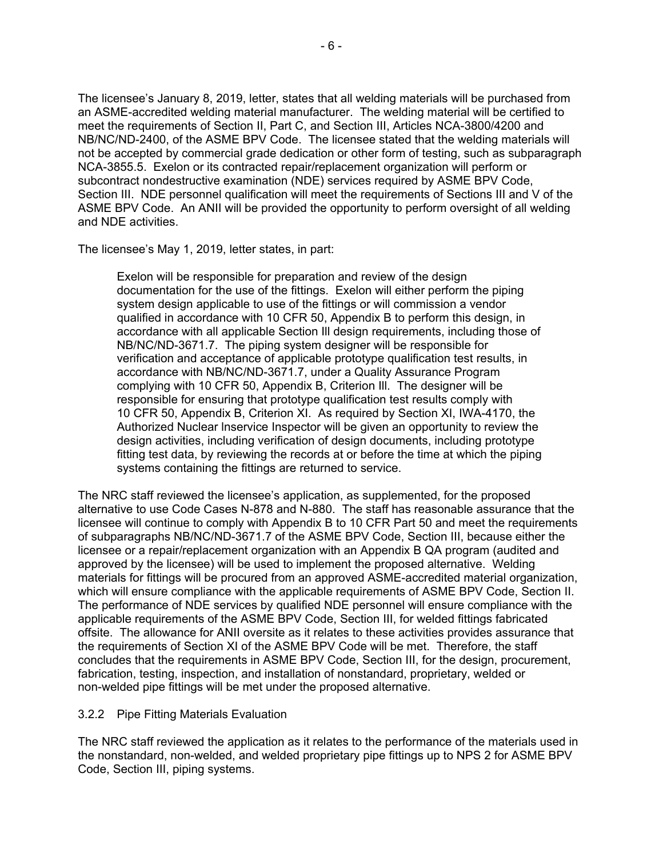The licensee's January 8, 2019, letter, states that all welding materials will be purchased from an ASME-accredited welding material manufacturer. The welding material will be certified to meet the requirements of Section II, Part C, and Section III, Articles NCA-3800/4200 and NB/NC/ND-2400, of the ASME BPV Code. The licensee stated that the welding materials will not be accepted by commercial grade dedication or other form of testing, such as subparagraph NCA-3855.5. Exelon or its contracted repair/replacement organization will perform or subcontract nondestructive examination (NDE) services required by ASME BPV Code, Section III. NDE personnel qualification will meet the requirements of Sections III and V of the ASME BPV Code. An ANII will be provided the opportunity to perform oversight of all welding and NDE activities.

The licensee's May 1, 2019, letter states, in part:

Exelon will be responsible for preparation and review of the design documentation for the use of the fittings. Exelon will either perform the piping system design applicable to use of the fittings or will commission a vendor qualified in accordance with 10 CFR 50, Appendix B to perform this design, in accordance with all applicable Section Ill design requirements, including those of NB/NC/ND-3671.7. The piping system designer will be responsible for verification and acceptance of applicable prototype qualification test results, in accordance with NB/NC/ND-3671.7, under a Quality Assurance Program complying with 10 CFR 50, Appendix B, Criterion Ill. The designer will be responsible for ensuring that prototype qualification test results comply with 10 CFR 50, Appendix B, Criterion XI. As required by Section XI, IWA-4170, the Authorized Nuclear lnservice Inspector will be given an opportunity to review the design activities, including verification of design documents, including prototype fitting test data, by reviewing the records at or before the time at which the piping systems containing the fittings are returned to service.

The NRC staff reviewed the licensee's application, as supplemented, for the proposed alternative to use Code Cases N-878 and N-880. The staff has reasonable assurance that the licensee will continue to comply with Appendix B to 10 CFR Part 50 and meet the requirements of subparagraphs NB/NC/ND-3671.7 of the ASME BPV Code, Section III, because either the licensee or a repair/replacement organization with an Appendix B QA program (audited and approved by the licensee) will be used to implement the proposed alternative. Welding materials for fittings will be procured from an approved ASME-accredited material organization, which will ensure compliance with the applicable requirements of ASME BPV Code, Section II. The performance of NDE services by qualified NDE personnel will ensure compliance with the applicable requirements of the ASME BPV Code, Section III, for welded fittings fabricated offsite. The allowance for ANII oversite as it relates to these activities provides assurance that the requirements of Section XI of the ASME BPV Code will be met. Therefore, the staff concludes that the requirements in ASME BPV Code, Section III, for the design, procurement, fabrication, testing, inspection, and installation of nonstandard, proprietary, welded or non-welded pipe fittings will be met under the proposed alternative.

#### 3.2.2 Pipe Fitting Materials Evaluation

The NRC staff reviewed the application as it relates to the performance of the materials used in the nonstandard, non-welded, and welded proprietary pipe fittings up to NPS 2 for ASME BPV Code, Section III, piping systems.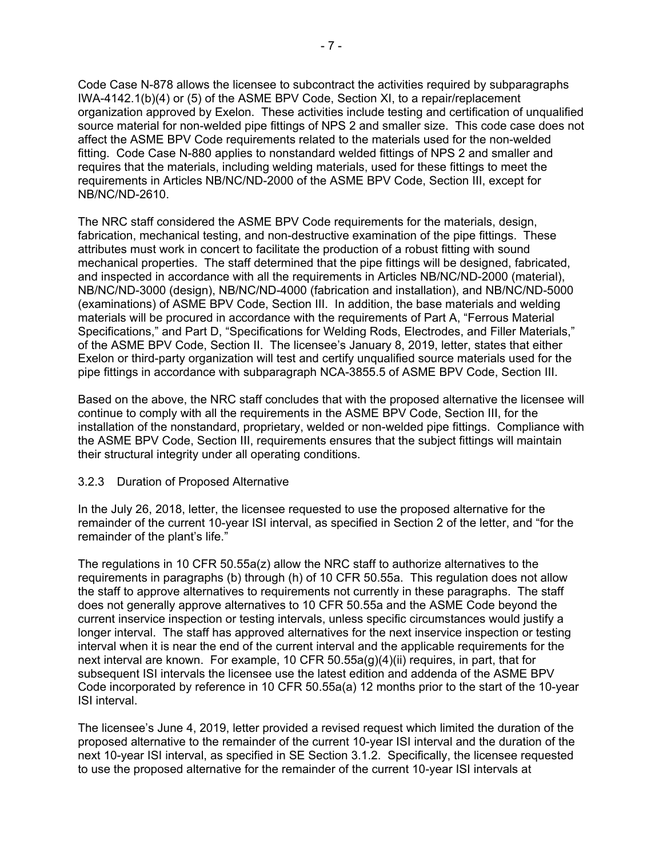Code Case N-878 allows the licensee to subcontract the activities required by subparagraphs IWA-4142.1(b)(4) or (5) of the ASME BPV Code, Section XI, to a repair/replacement organization approved by Exelon. These activities include testing and certification of unqualified source material for non-welded pipe fittings of NPS 2 and smaller size. This code case does not affect the ASME BPV Code requirements related to the materials used for the non-welded fitting. Code Case N-880 applies to nonstandard welded fittings of NPS 2 and smaller and requires that the materials, including welding materials, used for these fittings to meet the requirements in Articles NB/NC/ND-2000 of the ASME BPV Code, Section III, except for NB/NC/ND-2610.

The NRC staff considered the ASME BPV Code requirements for the materials, design, fabrication, mechanical testing, and non-destructive examination of the pipe fittings. These attributes must work in concert to facilitate the production of a robust fitting with sound mechanical properties. The staff determined that the pipe fittings will be designed, fabricated, and inspected in accordance with all the requirements in Articles NB/NC/ND-2000 (material), NB/NC/ND-3000 (design), NB/NC/ND-4000 (fabrication and installation), and NB/NC/ND-5000 (examinations) of ASME BPV Code, Section III. In addition, the base materials and welding materials will be procured in accordance with the requirements of Part A, "Ferrous Material Specifications," and Part D, "Specifications for Welding Rods, Electrodes, and Filler Materials," of the ASME BPV Code, Section II. The licensee's January 8, 2019, letter, states that either Exelon or third-party organization will test and certify unqualified source materials used for the pipe fittings in accordance with subparagraph NCA-3855.5 of ASME BPV Code, Section III.

Based on the above, the NRC staff concludes that with the proposed alternative the licensee will continue to comply with all the requirements in the ASME BPV Code, Section III, for the installation of the nonstandard, proprietary, welded or non-welded pipe fittings. Compliance with the ASME BPV Code, Section III, requirements ensures that the subject fittings will maintain their structural integrity under all operating conditions.

### 3.2.3 Duration of Proposed Alternative

In the July 26, 2018, letter, the licensee requested to use the proposed alternative for the remainder of the current 10-year ISI interval, as specified in Section 2 of the letter, and "for the remainder of the plant's life."

The regulations in 10 CFR 50.55a(z) allow the NRC staff to authorize alternatives to the requirements in paragraphs (b) through (h) of 10 CFR 50.55a. This regulation does not allow the staff to approve alternatives to requirements not currently in these paragraphs. The staff does not generally approve alternatives to 10 CFR 50.55a and the ASME Code beyond the current inservice inspection or testing intervals, unless specific circumstances would justify a longer interval. The staff has approved alternatives for the next inservice inspection or testing interval when it is near the end of the current interval and the applicable requirements for the next interval are known. For example, 10 CFR 50.55a(g)(4)(ii) requires, in part, that for subsequent ISI intervals the licensee use the latest edition and addenda of the ASME BPV Code incorporated by reference in 10 CFR 50.55a(a) 12 months prior to the start of the 10-year ISI interval.

The licensee's June 4, 2019, letter provided a revised request which limited the duration of the proposed alternative to the remainder of the current 10-year ISI interval and the duration of the next 10-year ISI interval, as specified in SE Section 3.1.2. Specifically, the licensee requested to use the proposed alternative for the remainder of the current 10-year ISI intervals at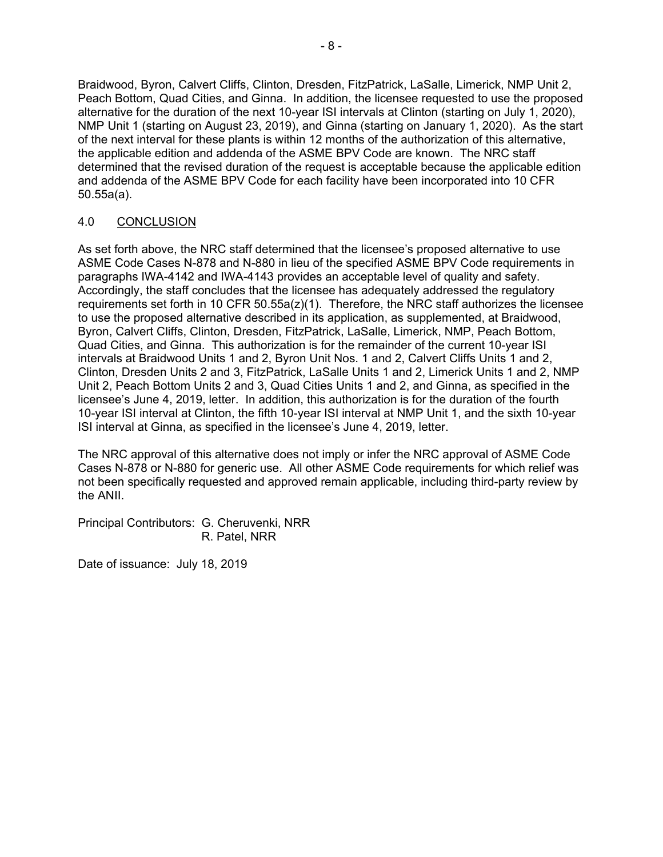Braidwood, Byron, Calvert Cliffs, Clinton, Dresden, FitzPatrick, LaSalle, Limerick, NMP Unit 2, Peach Bottom, Quad Cities, and Ginna. In addition, the licensee requested to use the proposed alternative for the duration of the next 10-year ISI intervals at Clinton (starting on July 1, 2020), NMP Unit 1 (starting on August 23, 2019), and Ginna (starting on January 1, 2020). As the start of the next interval for these plants is within 12 months of the authorization of this alternative, the applicable edition and addenda of the ASME BPV Code are known. The NRC staff determined that the revised duration of the request is acceptable because the applicable edition and addenda of the ASME BPV Code for each facility have been incorporated into 10 CFR 50.55a(a).

### 4.0 CONCLUSION

As set forth above, the NRC staff determined that the licensee's proposed alternative to use ASME Code Cases N-878 and N-880 in lieu of the specified ASME BPV Code requirements in paragraphs IWA-4142 and IWA-4143 provides an acceptable level of quality and safety. Accordingly, the staff concludes that the licensee has adequately addressed the regulatory requirements set forth in 10 CFR 50.55a(z)(1). Therefore, the NRC staff authorizes the licensee to use the proposed alternative described in its application, as supplemented, at Braidwood, Byron, Calvert Cliffs, Clinton, Dresden, FitzPatrick, LaSalle, Limerick, NMP, Peach Bottom, Quad Cities, and Ginna. This authorization is for the remainder of the current 10-year ISI intervals at Braidwood Units 1 and 2, Byron Unit Nos. 1 and 2, Calvert Cliffs Units 1 and 2, Clinton, Dresden Units 2 and 3, FitzPatrick, LaSalle Units 1 and 2, Limerick Units 1 and 2, NMP Unit 2, Peach Bottom Units 2 and 3, Quad Cities Units 1 and 2, and Ginna, as specified in the licensee's June 4, 2019, letter. In addition, this authorization is for the duration of the fourth 10-year ISI interval at Clinton, the fifth 10-year ISI interval at NMP Unit 1, and the sixth 10-year ISI interval at Ginna, as specified in the licensee's June 4, 2019, letter.

The NRC approval of this alternative does not imply or infer the NRC approval of ASME Code Cases N-878 or N-880 for generic use. All other ASME Code requirements for which relief was not been specifically requested and approved remain applicable, including third-party review by the ANII.

Principal Contributors: G. Cheruvenki, NRR R. Patel, NRR

Date of issuance: July 18, 2019